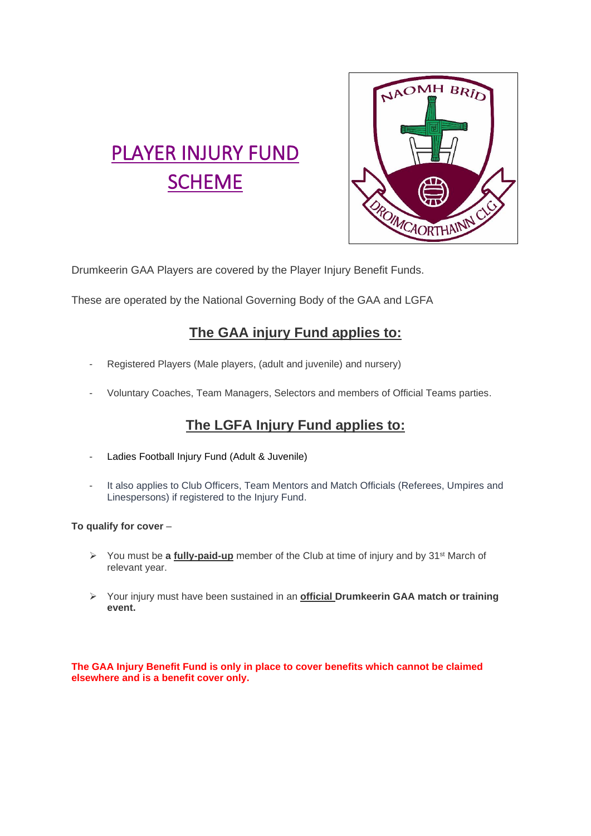

# PLAYER INJURY FUND **SCHEME**

Drumkeerin GAA Players are covered by the Player Injury Benefit Funds.

These are operated by the National Governing Body of the GAA and LGFA

# **The GAA injury Fund applies to:**

- Registered Players (Male players, (adult and juvenile) and nursery)
- Voluntary Coaches, Team Managers, Selectors and members of Official Teams parties.

# **The LGFA Injury Fund applies to:**

- Ladies Football Injury Fund (Adult & Juvenile)
- It also applies to Club Officers, Team Mentors and Match Officials (Referees, Umpires and Linespersons) if registered to the Injury Fund.

## **To qualify for cover** –

- ➢ You must be **a fully-paid-up** member of the Club at time of injury and by 31st March of relevant year.
- ➢ Your injury must have been sustained in an **official Drumkeerin GAA match or training event.**

**The GAA Injury Benefit Fund is only in place to cover benefits which cannot be claimed elsewhere and is a benefit cover only.**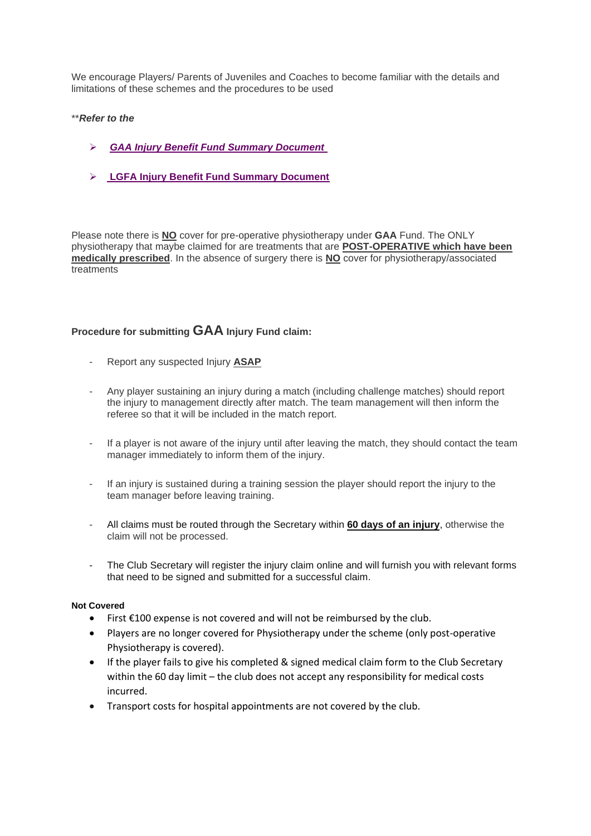We encourage Players/ Parents of Juveniles and Coaches to become familiar with the details and limitations of these schemes and the procedures to be used

#### \*\**Refer to the*

- ➢ *[GAA Injury Benefit Fund Summary Document](https://ballinrobegaaclub.com/wp-content/uploads/2021/06/2021-GAA-Injury-Benefit-Fund-Summary-Document-Club-and-County-Final-Version-1.pdf)*
- ➢ **LGFA [Injury Benefit Fund Summary Document](https://ladiesgaelic.ie/resources/injury-fund/)**

Please note there is **NO** cover for pre-operative physiotherapy under **GAA** Fund. The ONLY physiotherapy that maybe claimed for are treatments that are **POST-OPERATIVE which have been medically prescribed**. In the absence of surgery there is **NO** cover for physiotherapy/associated treatments

### **Procedure for submitting GAA Injury Fund claim:**

- Report any suspected Injury **ASAP**
- Any player sustaining an injury during a match (including challenge matches) should report the injury to management directly after match. The team management will then inform the referee so that it will be included in the match report.
- If a player is not aware of the injury until after leaving the match, they should contact the team manager immediately to inform them of the injury.
- If an injury is sustained during a training session the player should report the injury to the team manager before leaving training.
- All claims must be routed through the Secretary within **60 days of an injury**, otherwise the claim will not be processed.
- The Club Secretary will register the injury claim online and will furnish you with relevant forms that need to be signed and submitted for a successful claim.

#### **Not Covered**

- First €100 expense is not covered and will not be reimbursed by the club.
- Players are no longer covered for Physiotherapy under the scheme (only post-operative Physiotherapy is covered).
- If the player fails to give his completed & signed medical claim form to the Club Secretary within the 60 day limit – the club does not accept any responsibility for medical costs incurred.
- Transport costs for hospital appointments are not covered by the club.